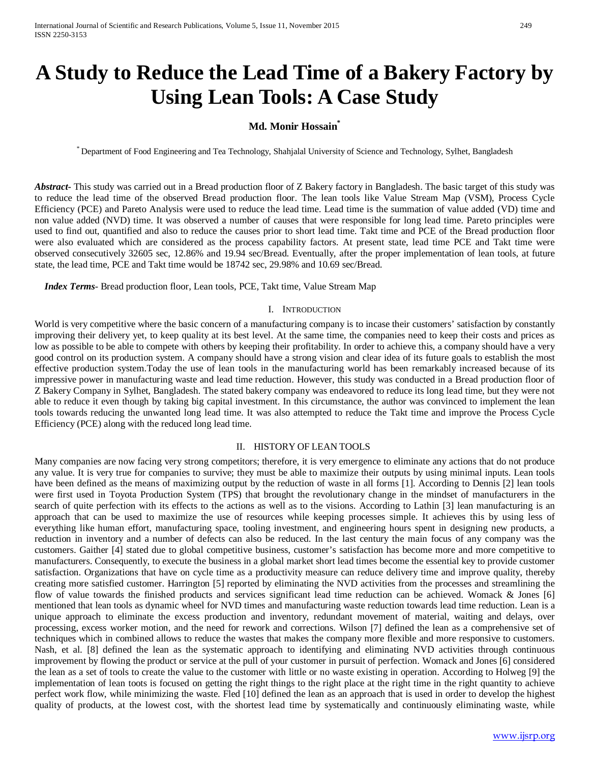# **A Study to Reduce the Lead Time of a Bakery Factory by Using Lean Tools: A Case Study**

# **Md. Monir Hossain\***

\* Department of Food Engineering and Tea Technology, Shahjalal University of Science and Technology, Sylhet, Bangladesh

*Abstract***-** This study was carried out in a Bread production floor of Z Bakery factory in Bangladesh. The basic target of this study was to reduce the lead time of the observed Bread production floor. The lean tools like Value Stream Map (VSM), Process Cycle Efficiency (PCE) and Pareto Analysis were used to reduce the lead time. Lead time is the summation of value added (VD) time and non value added (NVD) time. It was observed a number of causes that were responsible for long lead time. Pareto principles were used to find out, quantified and also to reduce the causes prior to short lead time. Takt time and PCE of the Bread production floor were also evaluated which are considered as the process capability factors. At present state, lead time PCE and Takt time were observed consecutively 32605 sec, 12.86% and 19.94 sec/Bread. Eventually, after the proper implementation of lean tools, at future state, the lead time, PCE and Takt time would be 18742 sec, 29.98% and 10.69 sec/Bread.

 *Index Terms*- Bread production floor, Lean tools, PCE, Takt time, Value Stream Map

#### I. INTRODUCTION

World is very competitive where the basic concern of a manufacturing company is to incase their customers' satisfaction by constantly improving their delivery yet, to keep quality at its best level. At the same time, the companies need to keep their costs and prices as low as possible to be able to compete with others by keeping their profitability. In order to achieve this, a company should have a very good control on its production system. A company should have a strong vision and clear idea of its future goals to establish the most effective production system.Today the use of lean tools in the manufacturing world has been remarkably increased because of its impressive power in manufacturing waste and lead time reduction. However, this study was conducted in a Bread production floor of Z Bakery Company in Sylhet, Bangladesh. The stated bakery company was endeavored to reduce its long lead time, but they were not able to reduce it even though by taking big capital investment. In this circumstance, the author was convinced to implement the lean tools towards reducing the unwanted long lead time. It was also attempted to reduce the Takt time and improve the Process Cycle Efficiency (PCE) along with the reduced long lead time.

### II. HISTORY OF LEAN TOOLS

Many companies are now facing very strong competitors; therefore, it is very emergence to eliminate any actions that do not produce any value. It is very true for companies to survive; they must be able to maximize their outputs by using minimal inputs. Lean tools have been defined as the means of maximizing output by the reduction of waste in all forms [1]. According to Dennis [2] lean tools were first used in Toyota Production System (TPS) that brought the revolutionary change in the mindset of manufacturers in the search of quite perfection with its effects to the actions as well as to the visions. According to Lathin [3] lean manufacturing is an approach that can be used to maximize the use of resources while keeping processes simple. It achieves this by using less of everything like human effort, manufacturing space, tooling investment, and engineering hours spent in designing new products, a reduction in inventory and a number of defects can also be reduced. In the last century the main focus of any company was the customers. Gaither [4] stated due to global competitive business, customer's satisfaction has become more and more competitive to manufacturers. Consequently, to execute the business in a global market short lead times become the essential key to provide customer satisfaction. Organizations that have on cycle time as a productivity measure can reduce delivery time and improve quality, thereby creating more satisfied customer. Harrington [5] reported by eliminating the NVD activities from the processes and streamlining the flow of value towards the finished products and services significant lead time reduction can be achieved. Womack & Jones [6] mentioned that lean tools as dynamic wheel for NVD times and manufacturing waste reduction towards lead time reduction. Lean is a unique approach to eliminate the excess production and inventory, redundant movement of material, waiting and delays, over processing, excess worker motion, and the need for rework and corrections. Wilson [7] defined the lean as a comprehensive set of techniques which in combined allows to reduce the wastes that makes the company more flexible and more responsive to customers. Nash, et al. [8] defined the lean as the systematic approach to identifying and eliminating NVD activities through continuous improvement by flowing the product or service at the pull of your customer in pursuit of perfection. Womack and Jones [6] considered the lean as a set of tools to create the value to the customer with little or no waste existing in operation. According to Holweg [9] the implementation of lean toots is focused on getting the right things to the right place at the right time in the right quantity to achieve perfect work flow, while minimizing the waste. Fled [10] defined the lean as an approach that is used in order to develop the highest quality of products, at the lowest cost, with the shortest lead time by systematically and continuously eliminating waste, while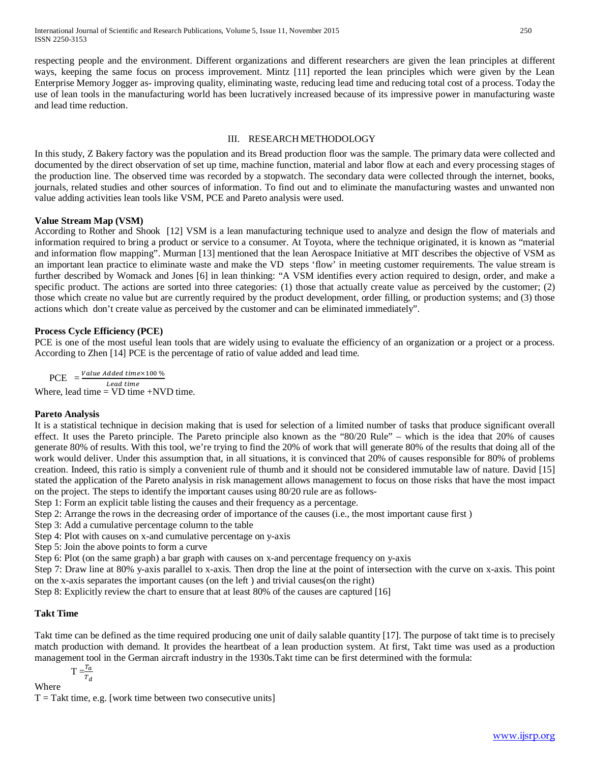respecting people and the environment. Different organizations and different researchers are given the lean principles at different ways, keeping the same focus on process improvement. Mintz [11] reported the lean principles which were given by the Lean Enterprise Memory Jogger as- improving quality, eliminating waste, reducing lead time and reducing total cost of a process. Today the use of lean tools in the manufacturing world has been lucratively increased because of its impressive power in manufacturing waste and lead time reduction.

# III. RESEARCH METHODOLOGY

In this study, Z Bakery factory was the population and its Bread production floor was the sample. The primary data were collected and documented by the direct observation of set up time, machine function, material and labor flow at each and every processing stages of the production line. The observed time was recorded by a stopwatch. The secondary data were collected through the internet, books, journals, related studies and other sources of information. To find out and to eliminate the manufacturing wastes and unwanted non value adding activities lean tools like VSM, PCE and Pareto analysis were used.

## **Value Stream Map (VSM)**

According to Rother and Shook [12] VSM is a lean manufacturing technique used to analyze and design the flow of materials and information required to bring a product or service to a consumer. At Toyota, where the technique originated, it is known as "material and information flow mapping". Murman [13] mentioned that the lean Aerospace Initiative at MIT describes the objective of VSM as an important lean practice to eliminate waste and make the VD steps 'flow' in meeting customer requirements. The value stream is further described by Womack and Jones [6] in lean thinking: "A VSM identifies every action required to design, order, and make a specific product. The actions are sorted into three categories: (1) those that actually create value as perceived by the customer; (2) those which create no value but are currently required by the product development, order filling, or production systems; and (3) those actions which don't create value as perceived by the customer and can be eliminated immediately".

## **Process Cycle Efficiency (PCE)**

PCE is one of the most useful lean tools that are widely using to evaluate the efficiency of an organization or a project or a process. According to Zhen [14] PCE is the percentage of ratio of value added and lead time.

PCE  $= \frac{Value \textit{Added time} \times 100}{%}$ Lead time Where, lead time =  $VD$  time +NVD time.

### **Pareto Analysis**

It is a statistical technique in decision making that is used for selection of a limited number of tasks that produce significant overall effect. It uses the Pareto principle. The Pareto principle also known as the "80/20 Rule" – which is the idea that 20% of causes generate 80% of results. With this tool, we're trying to find the 20% of work that will generate 80% of the results that doing all of the work would deliver. Under this assumption that, in all situations, it is convinced that 20% of causes responsible for 80% of problems creation. Indeed, this ratio is simply a convenient rule of thumb and it should not be considered immutable law of nature. David [15] stated the application of the Pareto analysis in risk management allows management to focus on those risks that have the most impact on the project. The steps to identify the important causes using 80/20 rule are as follows-

Step 1: Form an explicit table listing the causes and their frequency as a percentage.

Step 2: Arrange the rows in the decreasing order of importance of the causes (i.e., the most important cause first )

Step 3: Add a cumulative percentage column to the table

Step 4: Plot with causes on x-and cumulative percentage on y-axis

Step 5: Join the above points to form a curve

Step 6: Plot (on the same graph) a bar graph with causes on x-and percentage frequency on y-axis

Step 7: Draw line at 80% y-axis parallel to x-axis. Then drop the line at the point of intersection with the curve on x-axis. This point on the x-axis separates the important causes (on the left ) and trivial causes(on the right)

Step 8: Explicitly review the chart to ensure that at least 80% of the causes are captured [16]

### **Takt Time**

Takt time can be defined as the time required producing one unit of daily salable quantity [17]. The purpose of takt time is to precisely match production with demand. It provides the heartbeat of a lean production system. At first, Takt time was used as a production management tool in the German aircraft industry in the 1930s.Takt time can be first determined with the formula:

$$
T = \frac{T_a}{T_d}
$$

 $\overline{d}$ 

Where

 $T = T$ akt time, e.g. [work time between two consecutive units]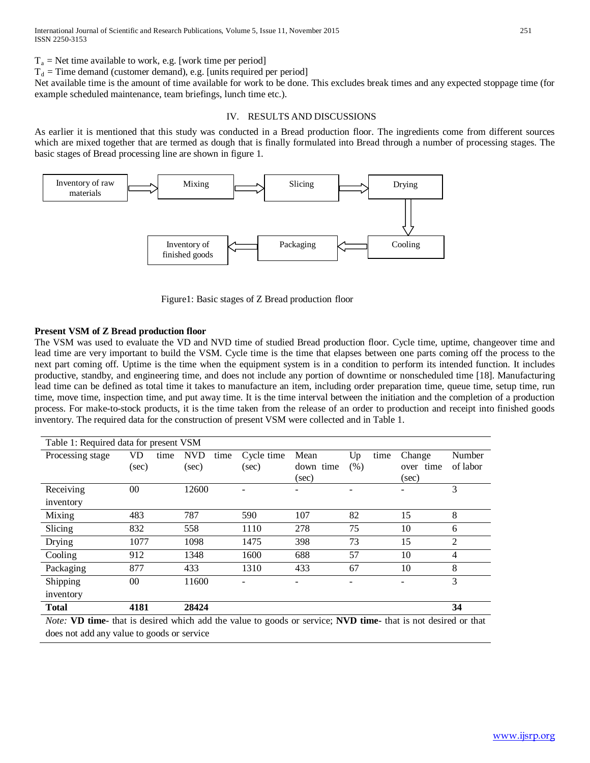$T_a$  = Net time available to work, e.g. [work time per period]

 $T_d$  = Time demand (customer demand), e.g. [units required per period]

Net available time is the amount of time available for work to be done. This excludes break times and any expected stoppage time (for example scheduled maintenance, team briefings, lunch time etc.).

### IV. RESULTS AND DISCUSSIONS

As earlier it is mentioned that this study was conducted in a Bread production floor. The ingredients come from different sources which are mixed together that are termed as dough that is finally formulated into Bread through a number of processing stages. The basic stages of Bread processing line are shown in figure 1.



Figure1: Basic stages of Z Bread production floor

## **Present VSM of Z Bread production floor**

The VSM was used to evaluate the VD and NVD time of studied Bread production floor. Cycle time, uptime, changeover time and lead time are very important to build the VSM. Cycle time is the time that elapses between one parts coming off the process to the next part coming off. Uptime is the time when the equipment system is in a condition to perform its intended function. It includes productive, standby, and engineering time, and does not include any portion of downtime or nonscheduled time [18]. Manufacturing lead time can be defined as total time it takes to manufacture an item, including order preparation time, queue time, setup time, run time, move time, inspection time, and put away time. It is the time interval between the initiation and the completion of a production process. For make-to-stock products, it is the time taken from the release of an order to production and receipt into finished goods inventory. The required data for the construction of present VSM were collected and in Table 1.

| Table 1: Required data for present VSM |                    |      |                                                                       |      |                                           |                            |              |      |                              |                    |
|----------------------------------------|--------------------|------|-----------------------------------------------------------------------|------|-------------------------------------------|----------------------------|--------------|------|------------------------------|--------------------|
| Processing stage                       | <b>VD</b><br>(sec) | time | <b>NVD</b><br>(sec)                                                   | time | Cycle time<br>(sec)                       | Mean<br>down time<br>(sec) | Up<br>(% )   | time | Change<br>over time<br>(sec) | Number<br>of labor |
| Receiving                              | $00\,$             |      | 12600                                                                 |      |                                           |                            |              |      |                              | 3                  |
| inventory                              |                    |      |                                                                       |      |                                           |                            |              |      |                              |                    |
| Mixing                                 | 483                |      | 787                                                                   |      | 590                                       | 107                        | 82           |      | 15                           | 8                  |
| Slicing                                | 832                |      | 558                                                                   |      | 1110                                      | 278                        | 75           |      | 10                           | 6                  |
| Drying                                 | 1077               |      | 1098                                                                  |      | 1475                                      | 398                        | 73           |      | 15                           | 2                  |
| Cooling                                | 912                |      | 1348                                                                  |      | 1600                                      | 688                        | 57           |      | 10                           | 4                  |
| Packaging                              | 877                |      | 433                                                                   |      | 1310                                      | 433                        | 67           |      | 10                           | 8                  |
| Shipping                               | $00\,$             |      | 11600                                                                 |      |                                           | ۰                          |              |      |                              | 3                  |
| inventory                              |                    |      |                                                                       |      |                                           |                            |              |      |                              |                    |
| <b>Total</b>                           | 4181               |      | 28424                                                                 |      |                                           |                            |              |      |                              | 34                 |
| T/T<br>$\mathbf{X}$                    |                    |      | $\mathbf{a}$ , and $\mathbf{a}$ , and $\mathbf{a}$ , and $\mathbf{a}$ |      | $\mathbf{1}$ $\mathbf{1}$<br>$\mathbf{I}$ | ٠                          | $\mathbf{X}$ |      | $-1$ $-1$<br>$\cdots$        | $\cdot$ 1          |

*Note:* **VD time-** that is desired which add the value to goods or service; **NVD time-** that is not desired or that does not add any value to goods or service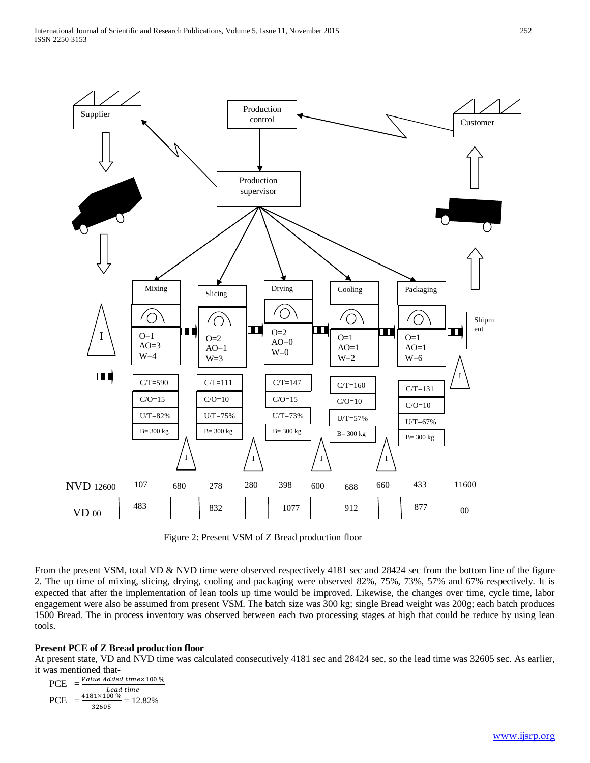

Figure 2: Present VSM of Z Bread production floor

From the present VSM, total VD & NVD time were observed respectively 4181 sec and 28424 sec from the bottom line of the figure 2. The up time of mixing, slicing, drying, cooling and packaging were observed 82%, 75%, 73%, 57% and 67% respectively. It is expected that after the implementation of lean tools up time would be improved. Likewise, the changes over time, cycle time, labor engagement were also be assumed from present VSM. The batch size was 300 kg; single Bread weight was 200g; each batch produces 1500 Bread. The in process inventory was observed between each two processing stages at high that could be reduce by using lean tools.

# **Present PCE of Z Bread production floor**

At present state, VD and NVD time was calculated consecutively 4181 sec and 28424 sec, so the lead time was 32605 sec. As earlier, it was mentioned that-

$$
PCE = \frac{Value \text{ Added time} \times 100 \text{ %}}{\text{lead time}}
$$
  
 
$$
PCE = \frac{4181 \times 100 \text{ %}}{32605} = 12.82\%
$$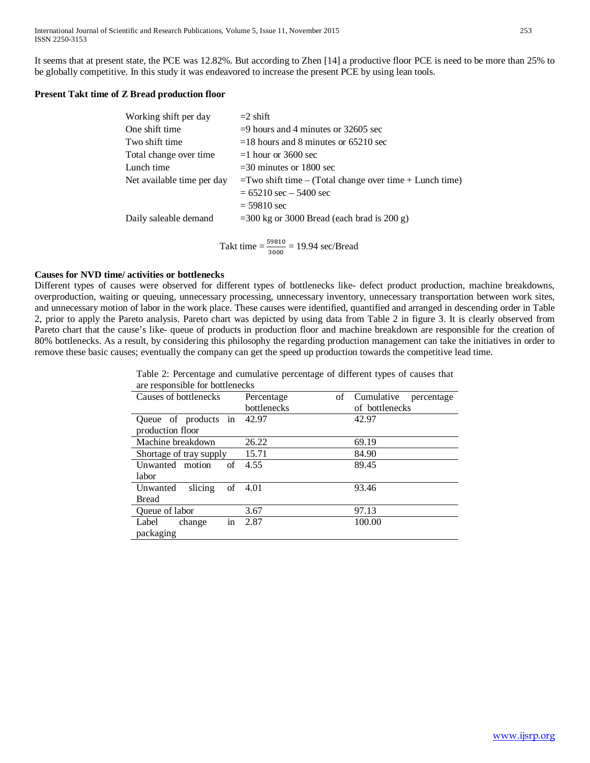It seems that at present state, the PCE was 12.82%. But according to Zhen [14] a productive floor PCE is need to be more than 25% to be globally competitive. In this study it was endeavored to increase the present PCE by using lean tools.

# **Present Takt time of Z Bread production floor**

| Working shift per day      | $=$ 2 shift                                                |
|----------------------------|------------------------------------------------------------|
| One shift time             | $=$ 9 hours and 4 minutes or 32605 sec                     |
| Two shift time             | $=$ 18 hours and 8 minutes or 65210 sec                    |
| Total change over time     | $=1$ hour or 3600 sec                                      |
| Lunch time                 | $=$ 30 minutes or 1800 sec                                 |
| Net available time per day | $=$ Two shift time – (Total change over time + Lunch time) |
|                            | $= 65210$ sec $- 5400$ sec                                 |
|                            | $= 59810$ sec                                              |
| Daily saleable demand      | $=$ 300 kg or 3000 Bread (each brad is 200 g)              |
|                            |                                                            |

Takt time  $=$   $\frac{59810}{3000}$  = 19.94 sec/Bread

## **Causes for NVD time/ activities or bottlenecks**

Different types of causes were observed for different types of bottlenecks like- defect product production, machine breakdowns, overproduction, waiting or queuing, unnecessary processing, unnecessary inventory, unnecessary transportation between work sites, and unnecessary motion of labor in the work place. These causes were identified, quantified and arranged in descending order in Table 2, prior to apply the Pareto analysis. Pareto chart was depicted by using data from Table 2 in figure 3. It is clearly observed from Pareto chart that the cause's like- queue of products in production floor and machine breakdown are responsible for the creation of 80% bottlenecks. As a result, by considering this philosophy the regarding production management can take the initiatives in order to remove these basic causes; eventually the company can get the speed up production towards the competitive lead time.

> Table 2: Percentage and cumulative percentage of different types of causes that are responsible for bottlenecks

| are responsible for contremedition |                  |                          |  |  |  |
|------------------------------------|------------------|--------------------------|--|--|--|
| Causes of bottlenecks              | of<br>Percentage | Cumulative<br>percentage |  |  |  |
|                                    | bottlenecks      | of bottlenecks           |  |  |  |
| Queue of products in               | 42.97            | 42.97                    |  |  |  |
| production floor                   |                  |                          |  |  |  |
| Machine breakdown                  | 26.22            | 69.19                    |  |  |  |
| Shortage of tray supply            | 15.71            | 84.90                    |  |  |  |
| Unwanted motion<br>of              | 4.55             | 89.45                    |  |  |  |
| labor                              |                  |                          |  |  |  |
| of<br>Unwanted<br>slicing          | 4.01             | 93.46                    |  |  |  |
| <b>Bread</b>                       |                  |                          |  |  |  |
| Queue of labor                     | 3.67             | 97.13                    |  |  |  |
| in<br>Label<br>change              | 2.87             | 100.00                   |  |  |  |
| packaging                          |                  |                          |  |  |  |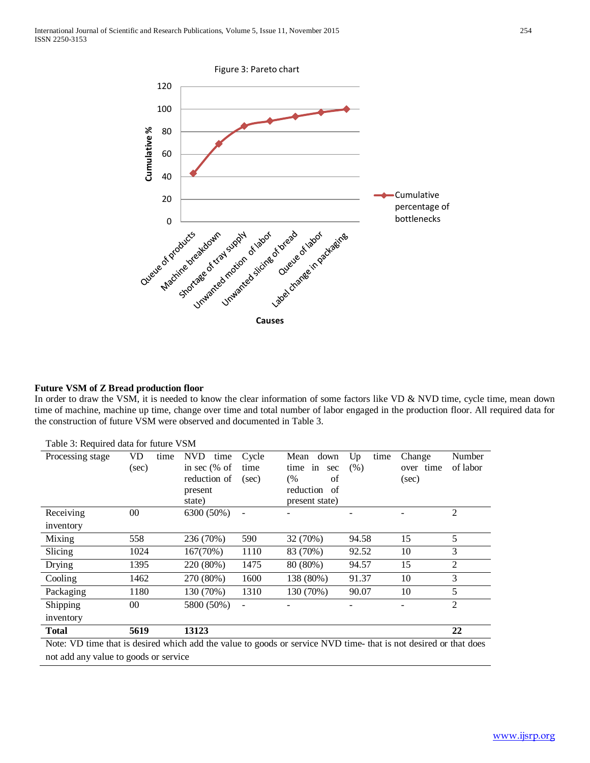

# **Future VSM of Z Bread production floor**

In order to draw the VSM, it is needed to know the clear information of some factors like VD & NVD time, cycle time, mean down time of machine, machine up time, change over time and total number of labor engaged in the production floor. All required data for the construction of future VSM were observed and documented in Table 3.

| 1 aois 5: Requirea ann 101 Iùithe                                                                                |            |                    |       |                 |            |           |                |
|------------------------------------------------------------------------------------------------------------------|------------|--------------------|-------|-----------------|------------|-----------|----------------|
| Processing stage                                                                                                 | VD<br>time | <b>NVD</b><br>time | Cycle | Mean<br>down    | Up<br>time | Change    | Number         |
|                                                                                                                  | (sec)      | in sec $%$ of      | time  | time in<br>sec  | (% )       | over time | of labor       |
|                                                                                                                  |            | reduction of       | (sec) | (%<br>of        |            | (sec)     |                |
|                                                                                                                  |            | present            |       | reduction<br>of |            |           |                |
|                                                                                                                  |            | state)             |       | present state)  |            |           |                |
| Receiving                                                                                                        | $00\,$     | 6300 (50%)         |       |                 |            |           | $\overline{2}$ |
| inventory                                                                                                        |            |                    |       |                 |            |           |                |
| Mixing                                                                                                           | 558        | 236 (70%)          | 590   | 32 (70%)        | 94.58      | 15        | 5              |
| Slicing                                                                                                          | 1024       | 167(70%)           | 1110  | 83 (70%)        | 92.52      | 10        | 3              |
| Drying                                                                                                           | 1395       | 220 (80%)          | 1475  | 80 (80%)        | 94.57      | 15        | $\overline{2}$ |
| Cooling                                                                                                          | 1462       | 270 (80%)          | 1600  | 138 (80%)       | 91.37      | 10        | 3              |
| Packaging                                                                                                        | 1180       | 130 (70%)          | 1310  | 130 (70%)       | 90.07      | 10        | 5              |
| Shipping                                                                                                         | $00\,$     | 5800 (50%)         |       |                 |            |           | 2              |
| inventory                                                                                                        |            |                    |       |                 |            |           |                |
| <b>Total</b>                                                                                                     | 5619       | 13123              |       |                 |            |           | 22             |
| Note: VD time that is desired which add the value to goods or service NVD time- that is not desired or that does |            |                    |       |                 |            |           |                |
| not add any value to goods or service                                                                            |            |                    |       |                 |            |           |                |

Table 3: Required data for future VSM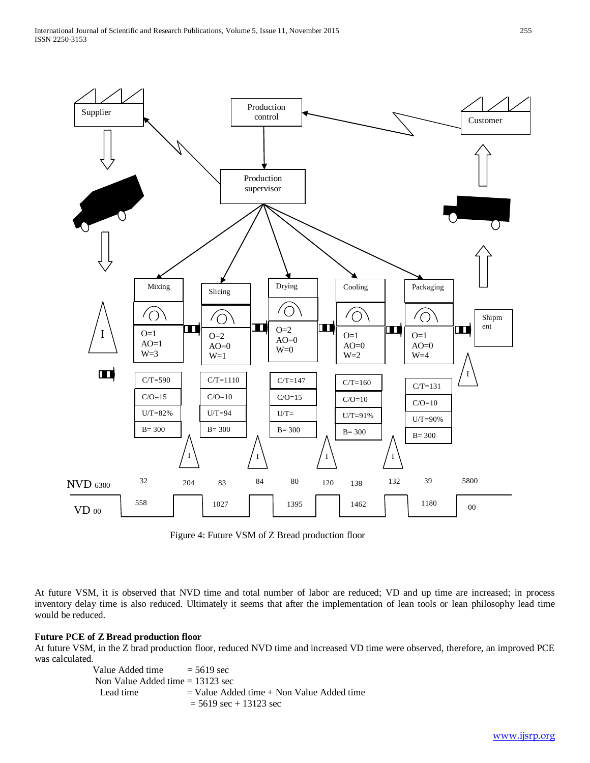

Figure 4: Future VSM of Z Bread production floor

At future VSM, it is observed that NVD time and total number of labor are reduced; VD and up time are increased; in process inventory delay time is also reduced. Ultimately it seems that after the implementation of lean tools or lean philosophy lead time would be reduced.

### **Future PCE of Z Bread production floor**

At future VSM, in the Z brad production floor, reduced NVD time and increased VD time were observed, therefore, an improved PCE was calculated.

> Value Added time  $= 5619 \text{ sec}$  Non Value Added time = 13123 sec Lead time  $=$  Value Added time  $+$  Non Value Added time  $= 5619 \text{ sec} + 13123 \text{ sec}$